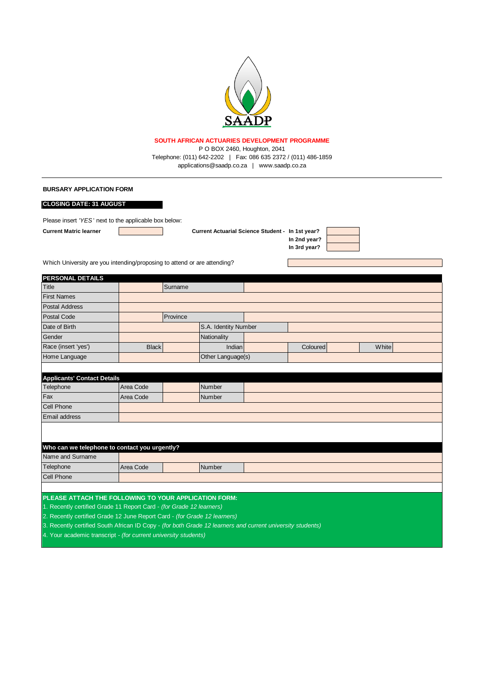

## **SOUTH AFRICAN ACTUARIES DEVELOPMENT PROGRAMME**

Telephone: (011) 642-2202 | Fax: 086 635 2372 / (011) 486-1859 applications@saadp.co.za | www.saadp.co.za P O BOX 2460, Houghton, 2041

## **BURSARY APPLICATION FORM**

## **CLOSING DATE: 31 AUGUST**

Please insert *'YES* ' next to the applicable box below:

**Current Matric learner In 1st year? Current Actuarial Science Student -** 

**In 2nd year? In 3rd year?**

Which University are you intending/proposing to attend or are attending?

| <b>PERSONAL DETAILS</b>                                                                                    |              |                      |                   |          |       |
|------------------------------------------------------------------------------------------------------------|--------------|----------------------|-------------------|----------|-------|
| Title                                                                                                      |              | Surname              |                   |          |       |
| <b>First Names</b>                                                                                         |              |                      |                   |          |       |
| <b>Postal Address</b>                                                                                      |              |                      |                   |          |       |
| <b>Postal Code</b>                                                                                         |              | Province             |                   |          |       |
| Date of Birth                                                                                              |              | S.A. Identity Number |                   |          |       |
| Gender                                                                                                     |              |                      | Nationality       |          |       |
| Race (insert 'yes')                                                                                        | <b>Black</b> |                      | Indian            | Coloured | White |
| Home Language                                                                                              |              |                      | Other Language(s) |          |       |
|                                                                                                            |              |                      |                   |          |       |
| <b>Applicants' Contact Details</b>                                                                         |              |                      |                   |          |       |
| Telephone                                                                                                  | Area Code    |                      | Number            |          |       |
| Fax                                                                                                        | Area Code    |                      | Number            |          |       |
| <b>Cell Phone</b>                                                                                          |              |                      |                   |          |       |
| <b>Email address</b>                                                                                       |              |                      |                   |          |       |
|                                                                                                            |              |                      |                   |          |       |
|                                                                                                            |              |                      |                   |          |       |
| Who can we telephone to contact you urgently?                                                              |              |                      |                   |          |       |
| Name and Surname                                                                                           |              |                      |                   |          |       |
| Telephone                                                                                                  | Area Code    |                      | Number            |          |       |
| <b>Cell Phone</b>                                                                                          |              |                      |                   |          |       |
|                                                                                                            |              |                      |                   |          |       |
| PLEASE ATTACH THE FOLLOWING TO YOUR APPLICATION FORM:                                                      |              |                      |                   |          |       |
| 1. Recently certified Grade 11 Report Card - (for Grade 12 learners)                                       |              |                      |                   |          |       |
| 2. Recently certified Grade 12 June Report Card - (for Grade 12 learners)                                  |              |                      |                   |          |       |
| 3. Recently certified South African ID Copy - (for both Grade 12 learners and current university students) |              |                      |                   |          |       |

4. Your academic transcript *- (for current university students)*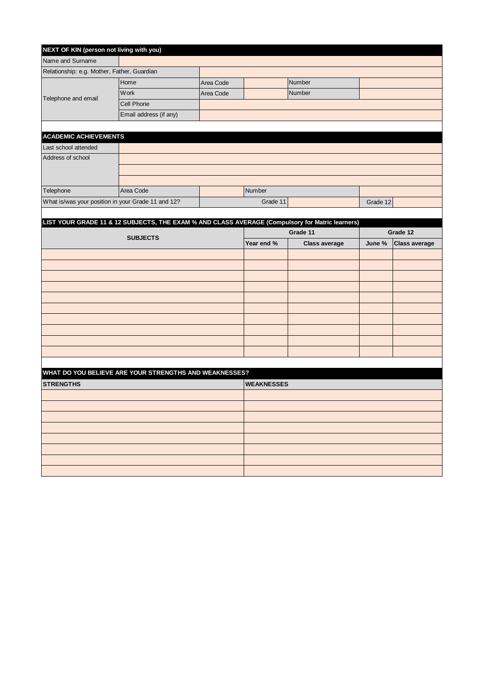| NEXT OF KIN (person not living with you)    |                                                                                                 |           |                   |                      |          |                      |
|---------------------------------------------|-------------------------------------------------------------------------------------------------|-----------|-------------------|----------------------|----------|----------------------|
| Name and Surname                            |                                                                                                 |           |                   |                      |          |                      |
| Relationship: e.g. Mother, Father, Guardian |                                                                                                 |           |                   |                      |          |                      |
|                                             | Home                                                                                            | Area Code |                   | Number               |          |                      |
| Telephone and email                         | Work                                                                                            | Area Code |                   | Number               |          |                      |
|                                             | Cell Phone                                                                                      |           |                   |                      |          |                      |
|                                             | Email address (if any)                                                                          |           |                   |                      |          |                      |
|                                             |                                                                                                 |           |                   |                      |          |                      |
| <b>ACADEMIC ACHIEVEMENTS</b>                |                                                                                                 |           |                   |                      |          |                      |
| Last school attended                        |                                                                                                 |           |                   |                      |          |                      |
| Address of school                           |                                                                                                 |           |                   |                      |          |                      |
|                                             |                                                                                                 |           |                   |                      |          |                      |
|                                             |                                                                                                 |           |                   |                      |          |                      |
| Telephone                                   | Area Code                                                                                       |           | Number            |                      |          |                      |
|                                             | What is/was your position in your Grade 11 and 12?                                              |           | Grade 11          |                      | Grade 12 |                      |
|                                             |                                                                                                 |           |                   |                      |          |                      |
|                                             | LIST YOUR GRADE 11 & 12 SUBJECTS, THE EXAM % AND CLASS AVERAGE (Compulsory for Matric learners) |           |                   |                      |          |                      |
|                                             | <b>SUBJECTS</b>                                                                                 |           | Grade 11          |                      | Grade 12 |                      |
|                                             |                                                                                                 |           | Year end %        | <b>Class average</b> | June %   | <b>Class average</b> |
|                                             |                                                                                                 |           |                   |                      |          |                      |
|                                             |                                                                                                 |           |                   |                      |          |                      |
|                                             |                                                                                                 |           |                   |                      |          |                      |
|                                             |                                                                                                 |           |                   |                      |          |                      |
|                                             |                                                                                                 |           |                   |                      |          |                      |
|                                             |                                                                                                 |           |                   |                      |          |                      |
|                                             |                                                                                                 |           |                   |                      |          |                      |
|                                             |                                                                                                 |           |                   |                      |          |                      |
|                                             |                                                                                                 |           |                   |                      |          |                      |
|                                             |                                                                                                 |           |                   |                      |          |                      |
|                                             |                                                                                                 |           |                   |                      |          |                      |
|                                             | WHAT DO YOU BELIEVE ARE YOUR STRENGTHS AND WEAKNESSES?                                          |           |                   |                      |          |                      |
| <b>STRENGTHS</b>                            |                                                                                                 |           | <b>WEAKNESSES</b> |                      |          |                      |
|                                             |                                                                                                 |           |                   |                      |          |                      |
|                                             |                                                                                                 |           |                   |                      |          |                      |
|                                             |                                                                                                 |           |                   |                      |          |                      |
|                                             |                                                                                                 |           |                   |                      |          |                      |
|                                             |                                                                                                 |           |                   |                      |          |                      |
|                                             |                                                                                                 |           |                   |                      |          |                      |
|                                             |                                                                                                 |           |                   |                      |          |                      |
|                                             |                                                                                                 |           |                   |                      |          |                      |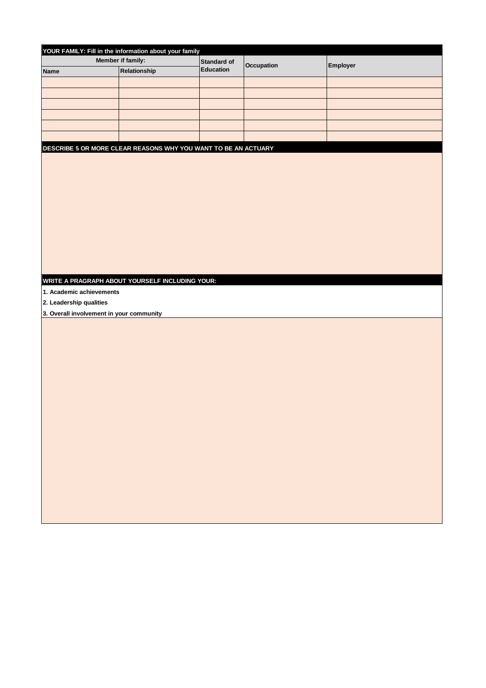| YOUR FAMILY: Fill in the information about your family<br>Member if family:<br>Standard of<br>Occupation<br>Employer<br><b>Education</b><br>Relationship<br><b>Name</b> |  |
|-------------------------------------------------------------------------------------------------------------------------------------------------------------------------|--|
|                                                                                                                                                                         |  |
|                                                                                                                                                                         |  |
|                                                                                                                                                                         |  |
|                                                                                                                                                                         |  |
|                                                                                                                                                                         |  |
|                                                                                                                                                                         |  |
|                                                                                                                                                                         |  |
|                                                                                                                                                                         |  |
|                                                                                                                                                                         |  |
| DESCRIBE 5 OR MORE CLEAR REASONS WHY YOU WANT TO BE AN ACTUARY                                                                                                          |  |
|                                                                                                                                                                         |  |
|                                                                                                                                                                         |  |
|                                                                                                                                                                         |  |
|                                                                                                                                                                         |  |
|                                                                                                                                                                         |  |
|                                                                                                                                                                         |  |
|                                                                                                                                                                         |  |
|                                                                                                                                                                         |  |
|                                                                                                                                                                         |  |
|                                                                                                                                                                         |  |
|                                                                                                                                                                         |  |
|                                                                                                                                                                         |  |
|                                                                                                                                                                         |  |
| WRITE A PRAGRAPH ABOUT YOURSELF INCLUDING YOUR:                                                                                                                         |  |
| 1. Academic achievements                                                                                                                                                |  |
| 2. Leadership qualities                                                                                                                                                 |  |
| 3. Overall involvement in your community                                                                                                                                |  |
|                                                                                                                                                                         |  |
|                                                                                                                                                                         |  |
|                                                                                                                                                                         |  |
|                                                                                                                                                                         |  |
|                                                                                                                                                                         |  |
|                                                                                                                                                                         |  |
|                                                                                                                                                                         |  |
|                                                                                                                                                                         |  |
|                                                                                                                                                                         |  |
|                                                                                                                                                                         |  |
|                                                                                                                                                                         |  |
|                                                                                                                                                                         |  |
|                                                                                                                                                                         |  |
|                                                                                                                                                                         |  |
|                                                                                                                                                                         |  |
|                                                                                                                                                                         |  |
|                                                                                                                                                                         |  |
|                                                                                                                                                                         |  |
|                                                                                                                                                                         |  |
|                                                                                                                                                                         |  |